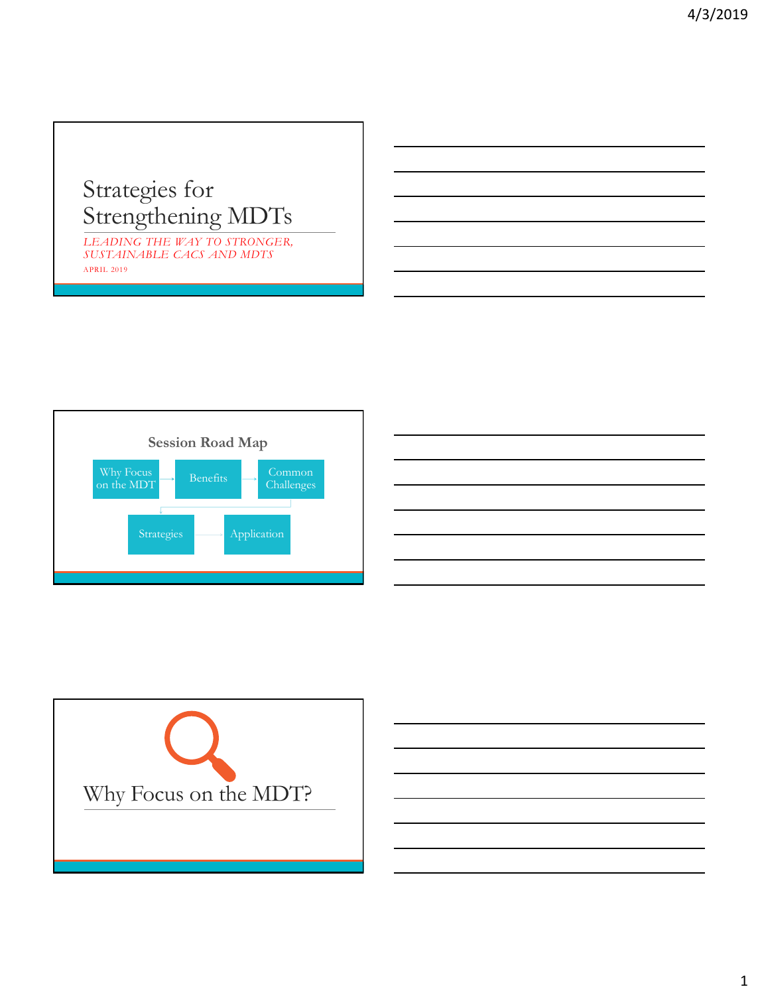## Strategies for Strengthening MDTs

*LEADING THE WAY TO STRONGER, SUSTAINABLE CACS AND MDTS* APRIL 2019





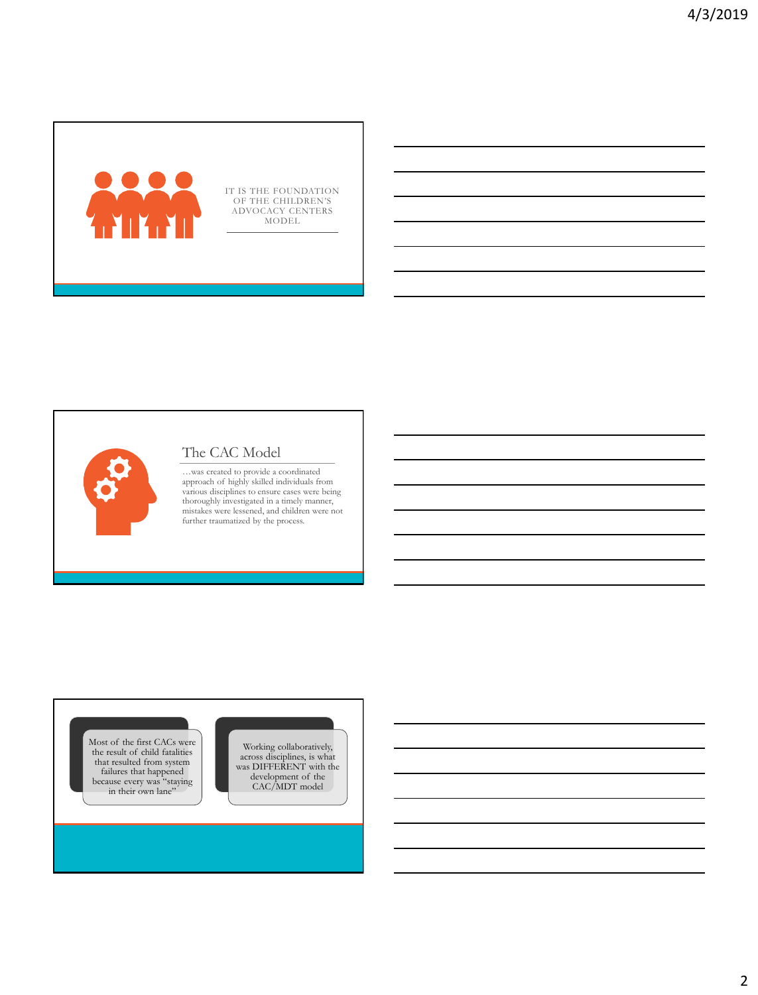

IT IS THE FOUNDATION OF THE CHILDREN'S ADVOCACY CENTERS MODEL

## The CAC Model

...was created to provide a coordinated<br>approach of highly skilled individuals from<br>various disciplines to ensure cases were being<br>throroughly investigated in a timely manner,<br>mistakes were lessened, and children were not<br>

Most of the first CACs were the result of child fatalities that resulted from system failures that happened because every was "staying in their own lane"

Working collaboratively, across disciplines, is what was DIFFERENT with the development of the CAC/MDT model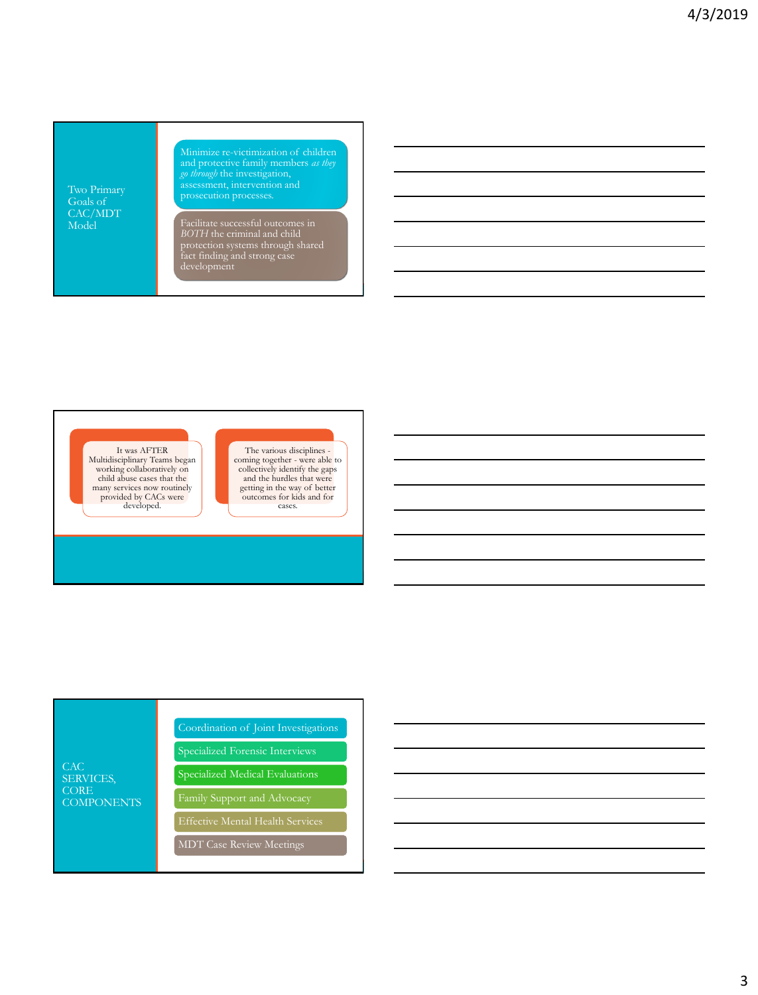Two Primary Goals of CAC/MDT Model

Minimize re-victimization of children

*BOTH* the criminal and child protection systems through shared fact finding and strong case



The various disciplines coming together - were able to collectively identify the gaps and the hurdles that were getting in the way of better outcomes for kids and for cases.

CAC SERVICES, CORE **COMPONENTS** Coordination of Joint Investigations Specialized Medical Evaluations Family Support and Advocacy MDT Case Review Meetings

3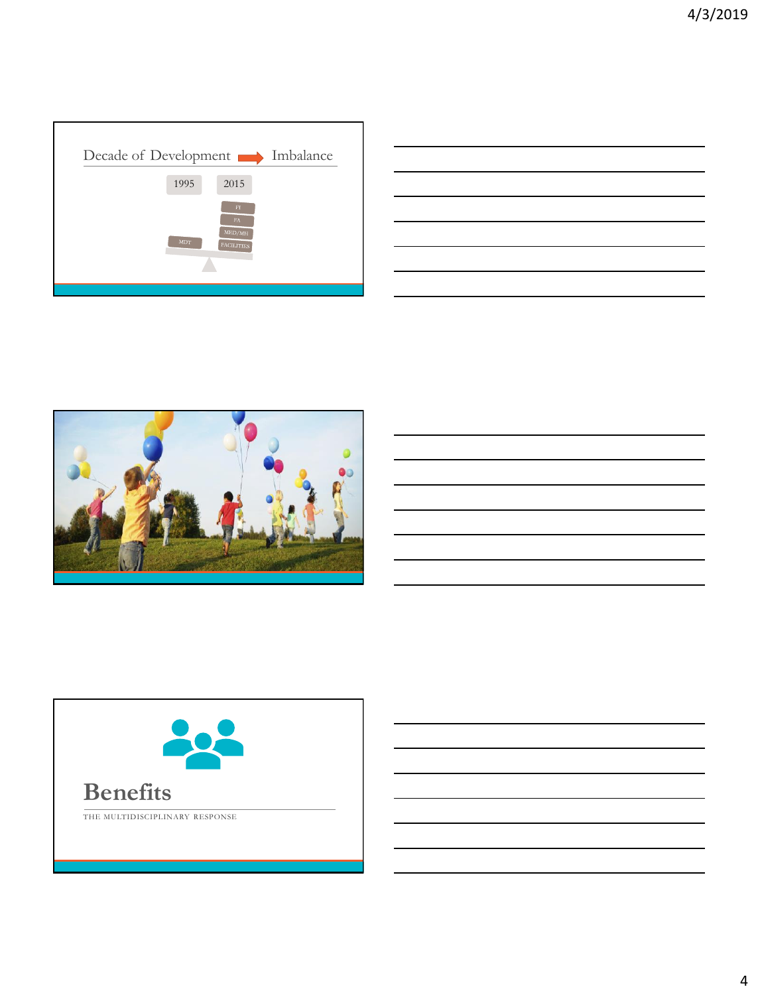

|                                                                                                                      | $\overline{\phantom{a}}$ |
|----------------------------------------------------------------------------------------------------------------------|--------------------------|
|                                                                                                                      |                          |
|                                                                                                                      |                          |
|                                                                                                                      |                          |
|                                                                                                                      |                          |
|                                                                                                                      | ____                     |
|                                                                                                                      |                          |
|                                                                                                                      |                          |
|                                                                                                                      |                          |
|                                                                                                                      |                          |
| <u> Andreas Andrews Andrews Andrews Andrews Andrews Andrews Andrews Andrews Andrews Andrews Andrews Andrews Andr</u> | ________                 |
|                                                                                                                      |                          |
|                                                                                                                      |                          |
|                                                                                                                      |                          |
|                                                                                                                      |                          |
|                                                                                                                      |                          |
|                                                                                                                      |                          |
|                                                                                                                      |                          |
|                                                                                                                      |                          |
| and the control of the control of the control of the control of the control of the control of the control of the     |                          |
|                                                                                                                      |                          |
|                                                                                                                      |                          |
|                                                                                                                      |                          |
|                                                                                                                      |                          |
|                                                                                                                      |                          |
|                                                                                                                      |                          |
|                                                                                                                      |                          |
|                                                                                                                      |                          |
|                                                                                                                      |                          |



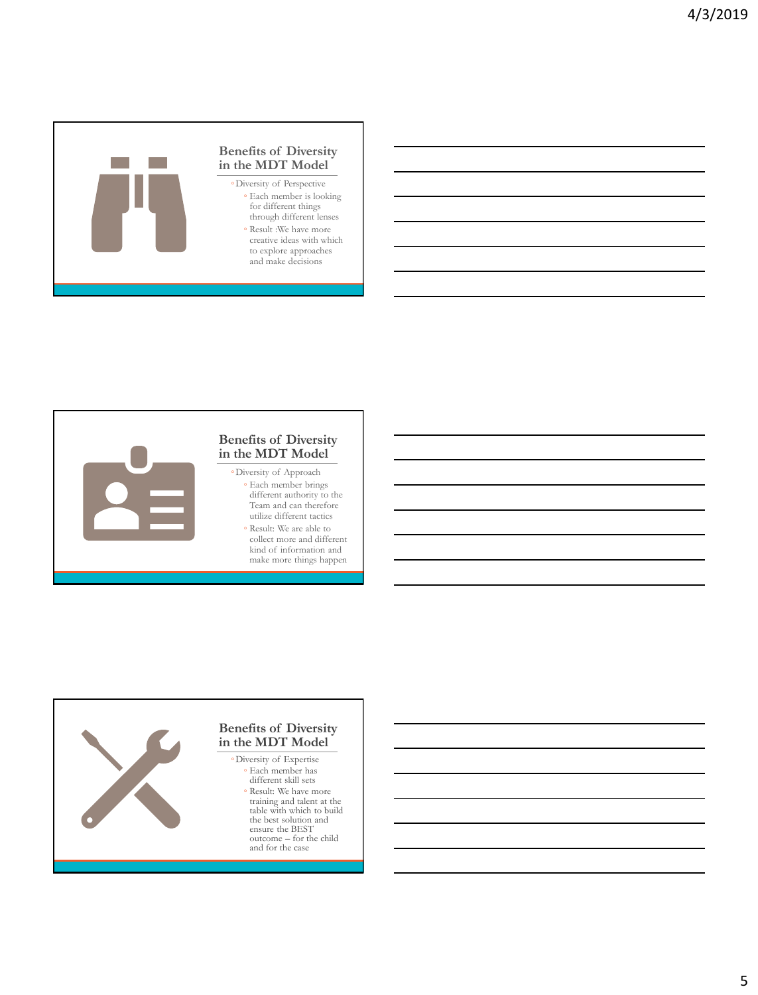



#### **Benefits of Diversity in the MDT Model**

- Each member brings different authority to the Team and can therefore utilize different tactics
	- Result: We are able to collect more and different kind of information and make more things happen

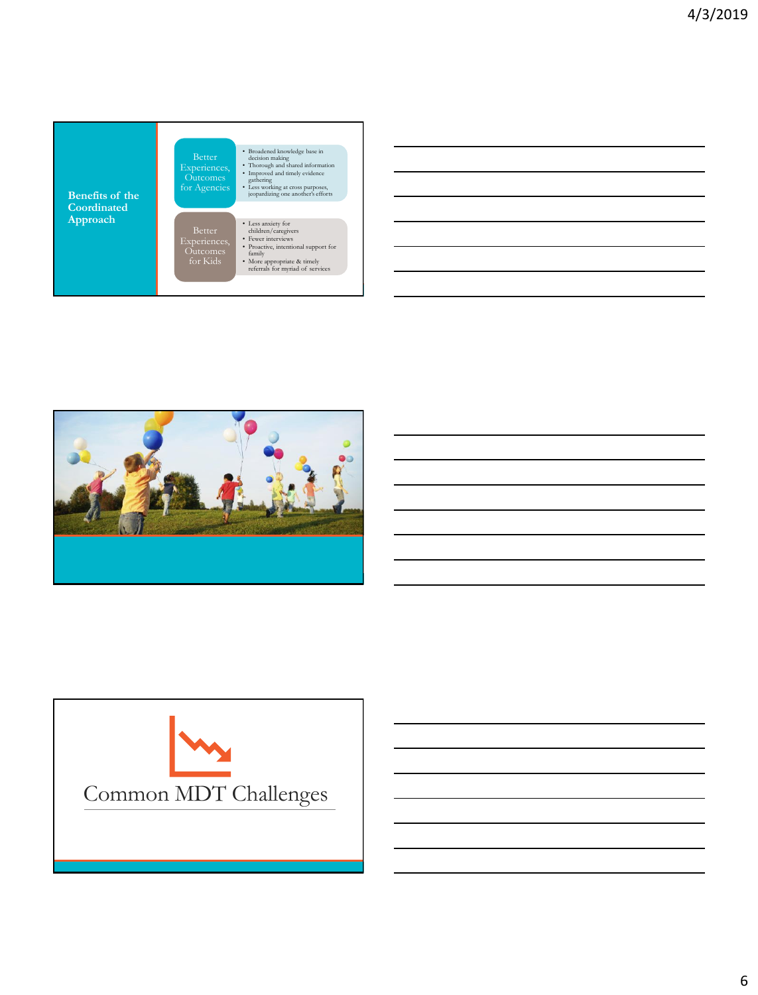





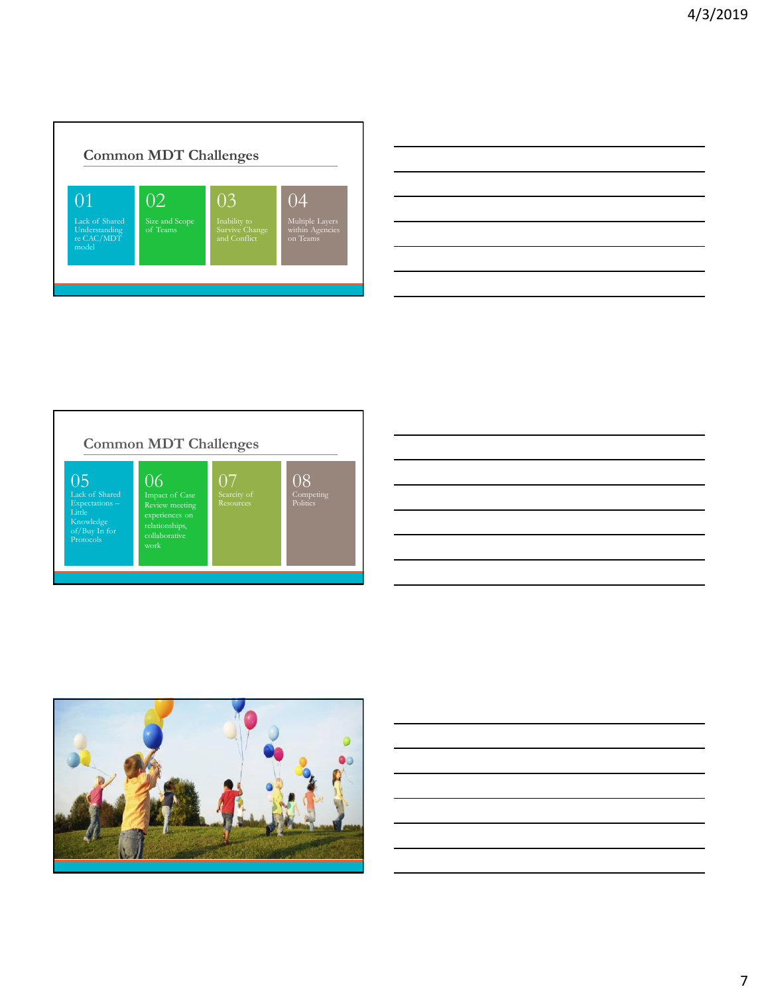









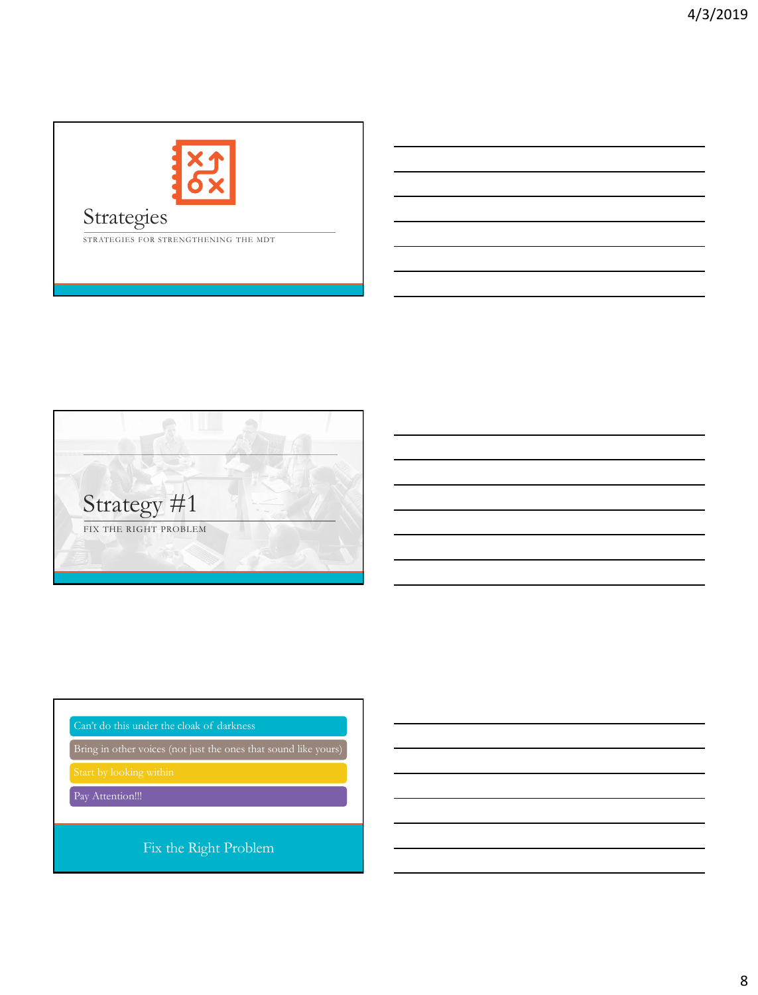

## Strategies

STRATEGIES FOR STRENGTHENING THE MDT



Bring in other voices (not just the ones that sound like yours)

Start by looking within

Pay Attention!!!

Fix the Right Problem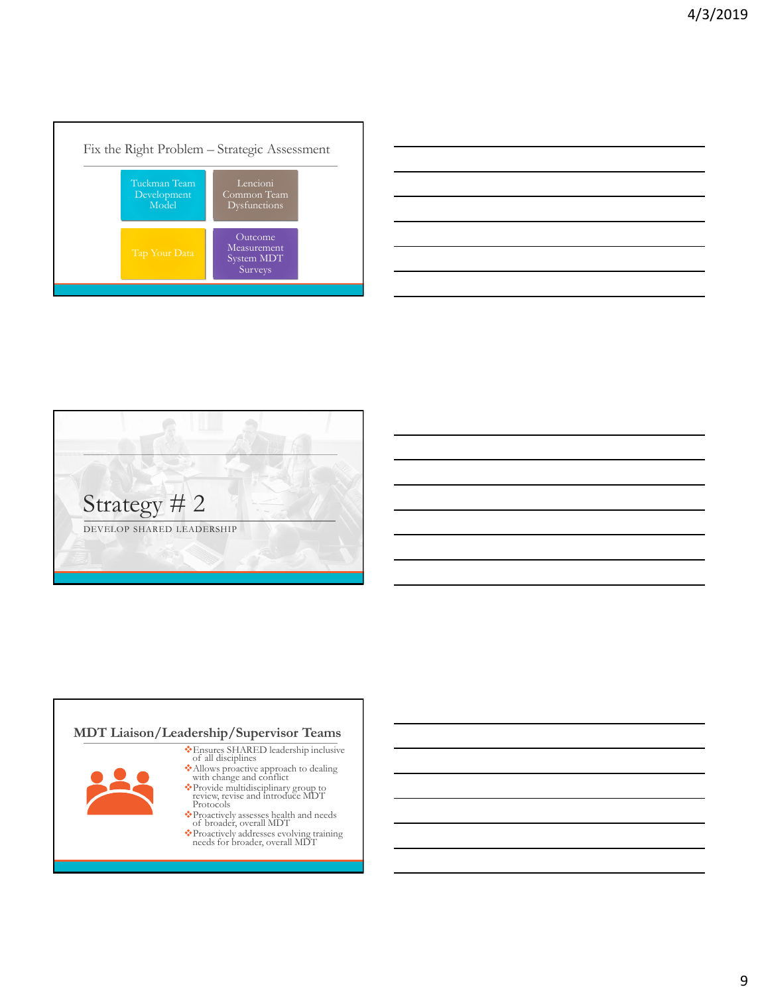

| <u> 1989 - Andrea Santa Andrea Andrea Andrea Andrea Andrea Andrea Andrea Andrea Andrea Andrea Andrea Andrea Andr</u> |  |  |
|----------------------------------------------------------------------------------------------------------------------|--|--|
|                                                                                                                      |  |  |
| <u> 1989 - Johann Stoff, amerikansk politiker (d. 1989)</u>                                                          |  |  |
|                                                                                                                      |  |  |
| <u> 1989 - Johann Stoff, amerikansk politiker (* 1908)</u>                                                           |  |  |
|                                                                                                                      |  |  |



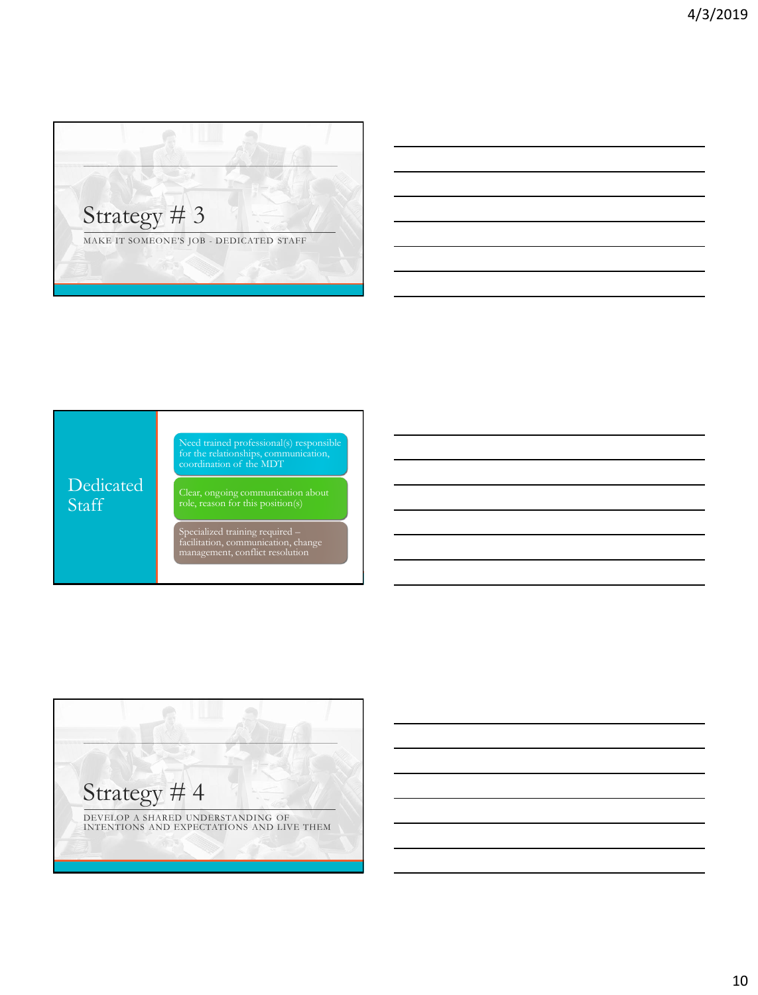



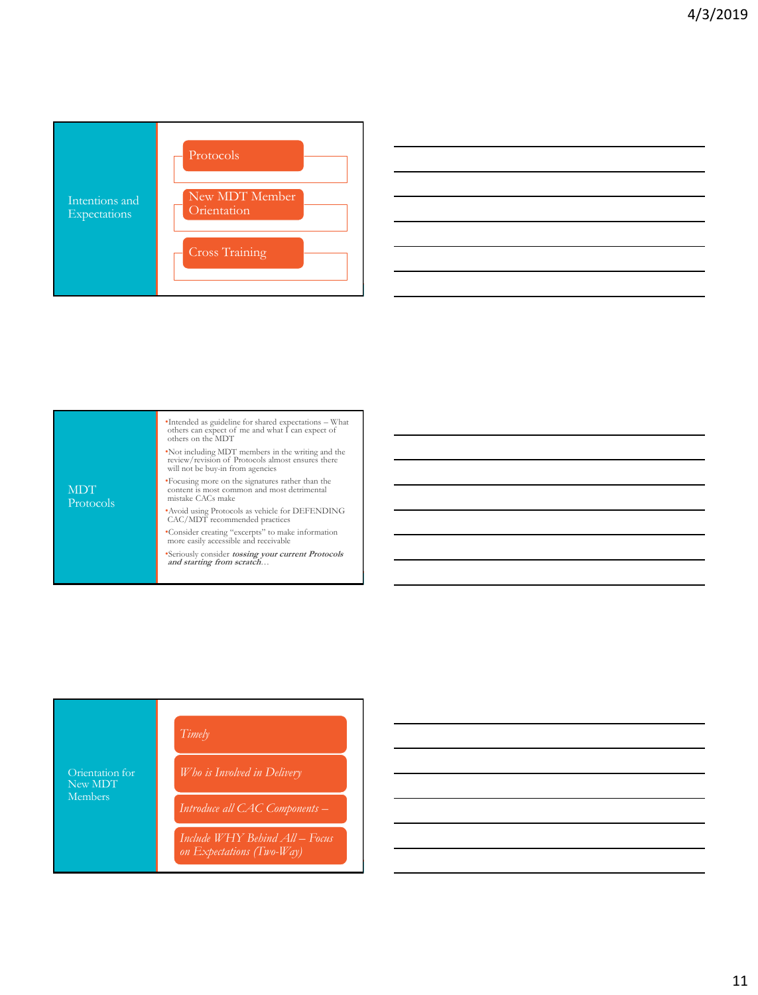



| <b>MDT</b><br>Protocols | •Intended as guideline for shared expectations - What<br>others can expect of me and what I can expect of<br>others on the MDT              |
|-------------------------|---------------------------------------------------------------------------------------------------------------------------------------------|
|                         | . Not including MDT members in the writing and the<br>review/revision of Protocols almost ensures there<br>will not be buy-in from agencies |
|                         | *Focusing more on the signatures rather than the<br>content is most common and most detrimental<br>mistake CACs make                        |
|                         | • Avoid using Protocols as vehicle for DEFENDING<br>CAC/MDT recommended practices                                                           |
|                         | •Consider creating "excerpts" to make information<br>more easily accessible and receivable                                                  |
|                         | *Seriously consider tossing your current Protocols<br>and starting from scratch                                                             |
|                         |                                                                                                                                             |

| Orientation for<br>New MDT<br><b>Members</b> | Timely                                                      |  |
|----------------------------------------------|-------------------------------------------------------------|--|
|                                              | Who is Involved in Delivery                                 |  |
|                                              | Introduce all CAC Components -                              |  |
|                                              | Include WHY Behind All – Focus<br>on Expectations (Two-Way) |  |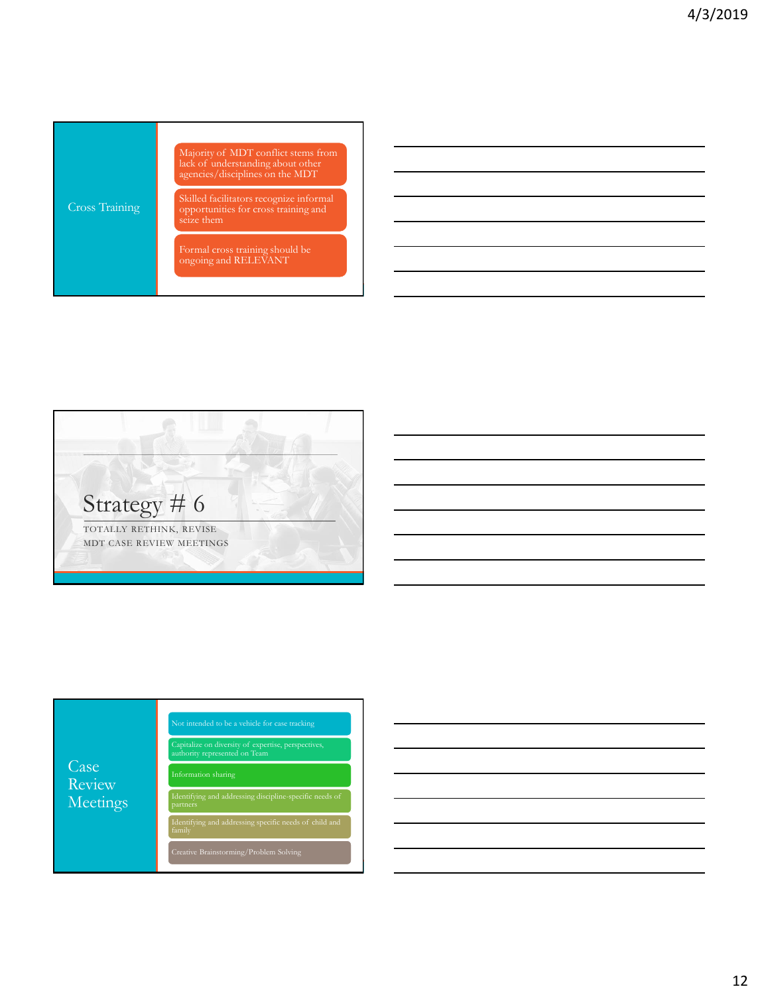





12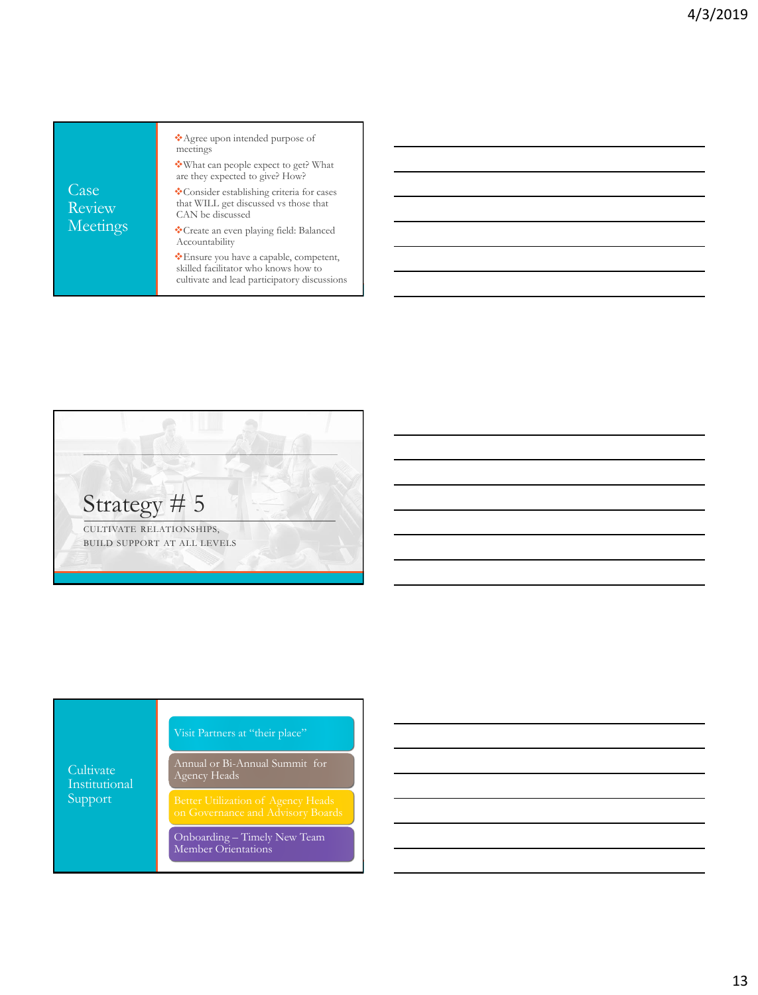| Case<br>Review<br>Meetings | *Agree upon intended purpose of<br>meetings                                                                                    |
|----------------------------|--------------------------------------------------------------------------------------------------------------------------------|
|                            | ❖ What can people expect to get? What<br>are they expected to give? How?                                                       |
|                            | Consider establishing criteria for cases<br>that WILL get discussed vs those that<br>CAN be discussed                          |
|                            | Create an even playing field: Balanced<br>Accountability                                                                       |
|                            | *Ensure you have a capable, competent,<br>skilled facilitator who knows how to<br>cultivate and lead participatory discussions |



Cultivate Support

Annual or Bi-Annual Summit for Agency Heads

Onboarding – Timely New Team Member Orientations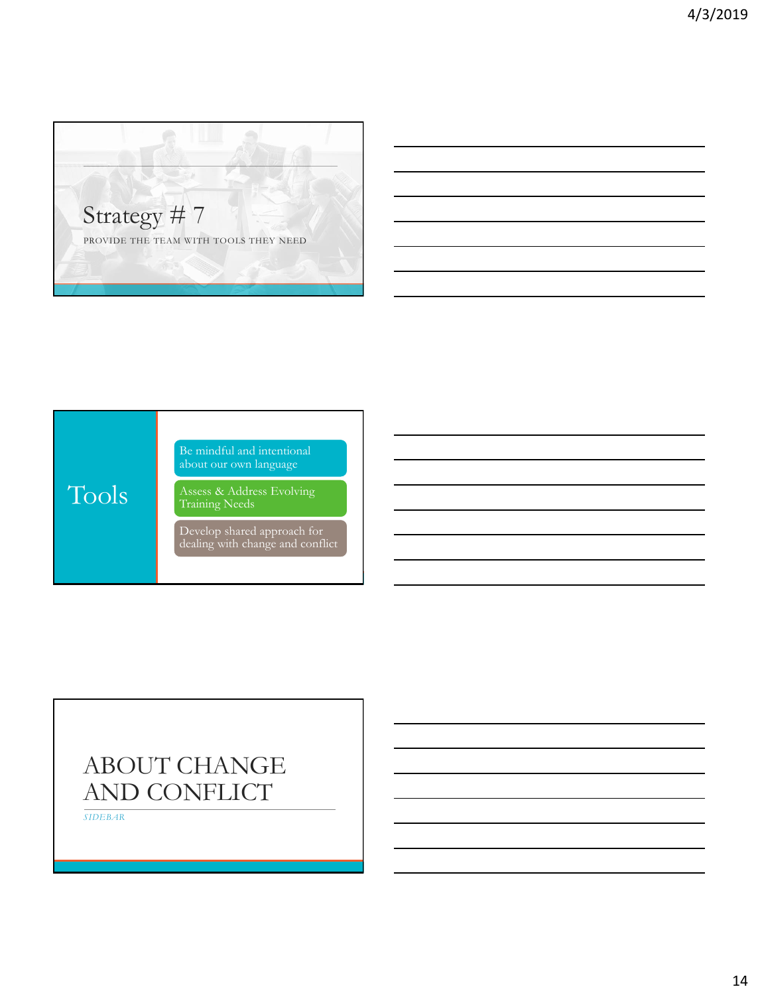



# ABOUT CHANGE AND CONFLICT

*SIDEBAR*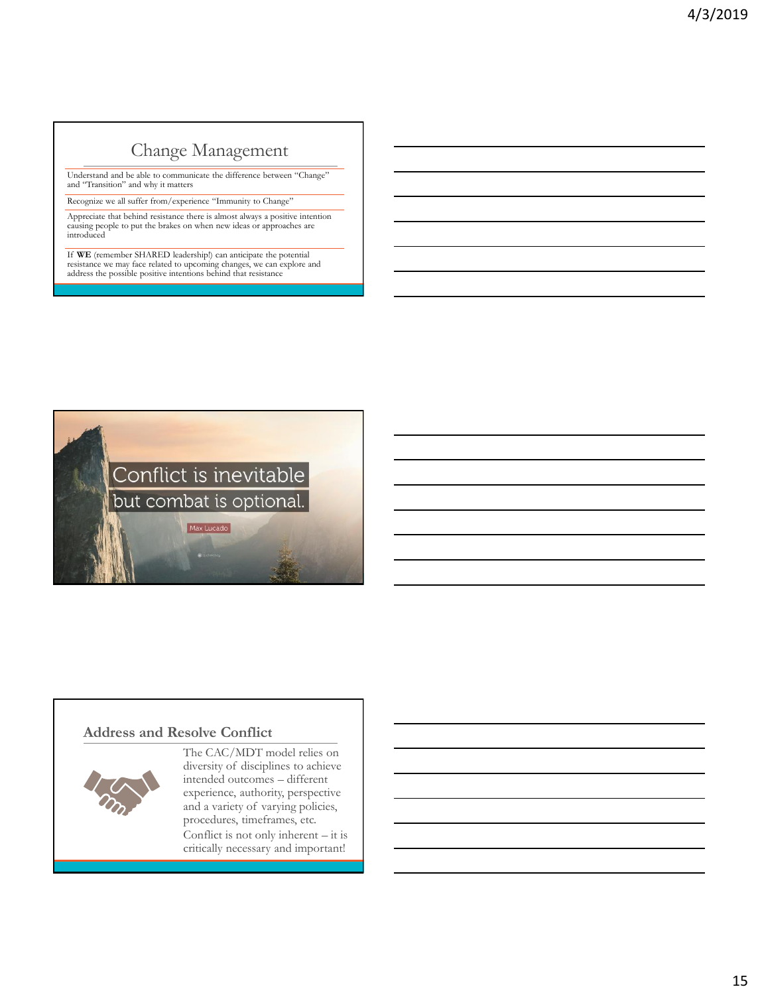## Change Management

Understand and be able to communicate the difference between "Change" and "Transition" and why it matters

Recognize we all suffer from/experience "Immunity to Change" Appreciate that behind resistance there is almost always a positive intention causing people to put the brakes on when new ideas or approaches are introduced

If **WE** (remember SHARED leadership!) can anticipate the potential resistance we may face related to upcoming changes, we can explore and address the possible positive intentions behind that resistance



### **Address and Resolve Conflict**



The CAC/MDT model relies on diversity of disciplines to achieve intended outcomes – different experience, authority, perspective and a variety of varying policies, procedures, timeframes, etc. Conflict is not only inherent – it is critically necessary and important!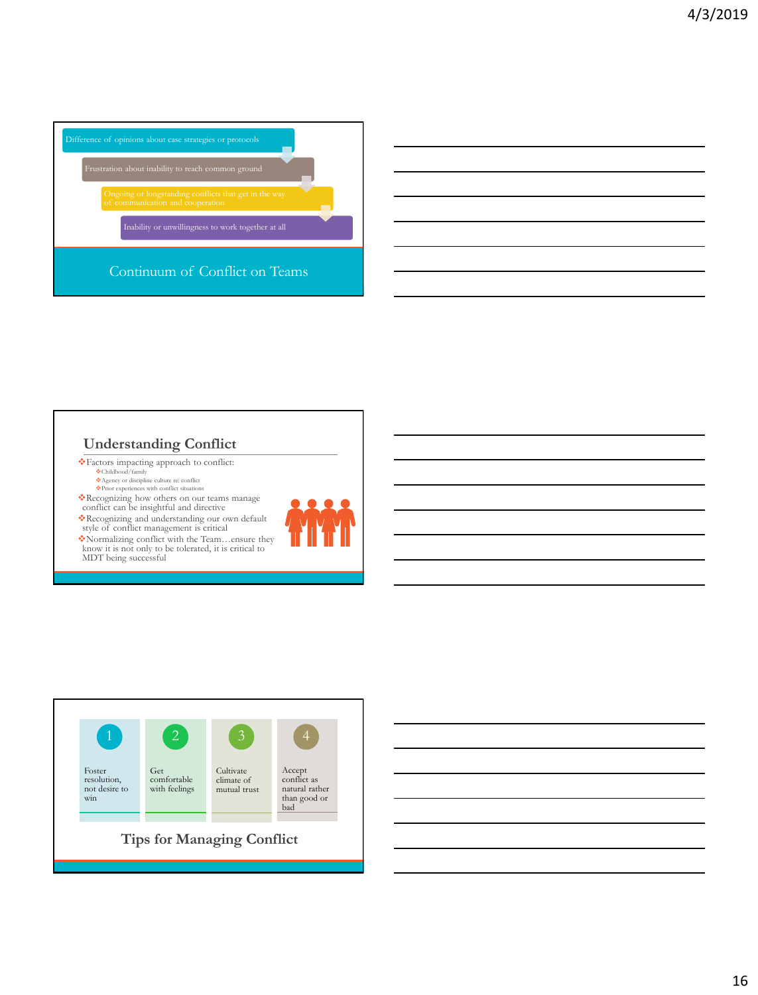

## **Understanding Conflict**

❖Factors impacting approach to conflict: ❖Childhood/family

❖Agency or discipline culture re: conflict ❖Prior experiences with conflict situations

❖Recognizing how others on our teams manage conflict can be insightful and directive

❖Recognizing and understanding our own default style of conflict management is critical

❖Normalizing conflict with the Team…ensure they know it is not only to be tolerated, it is critical to MDT being successful



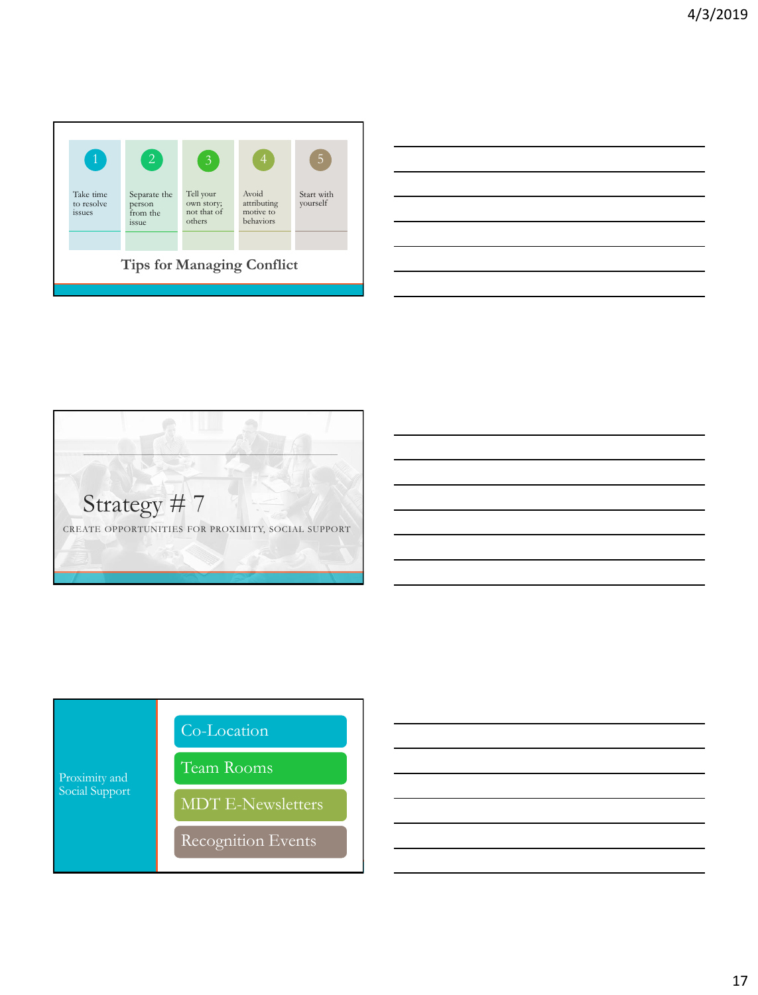